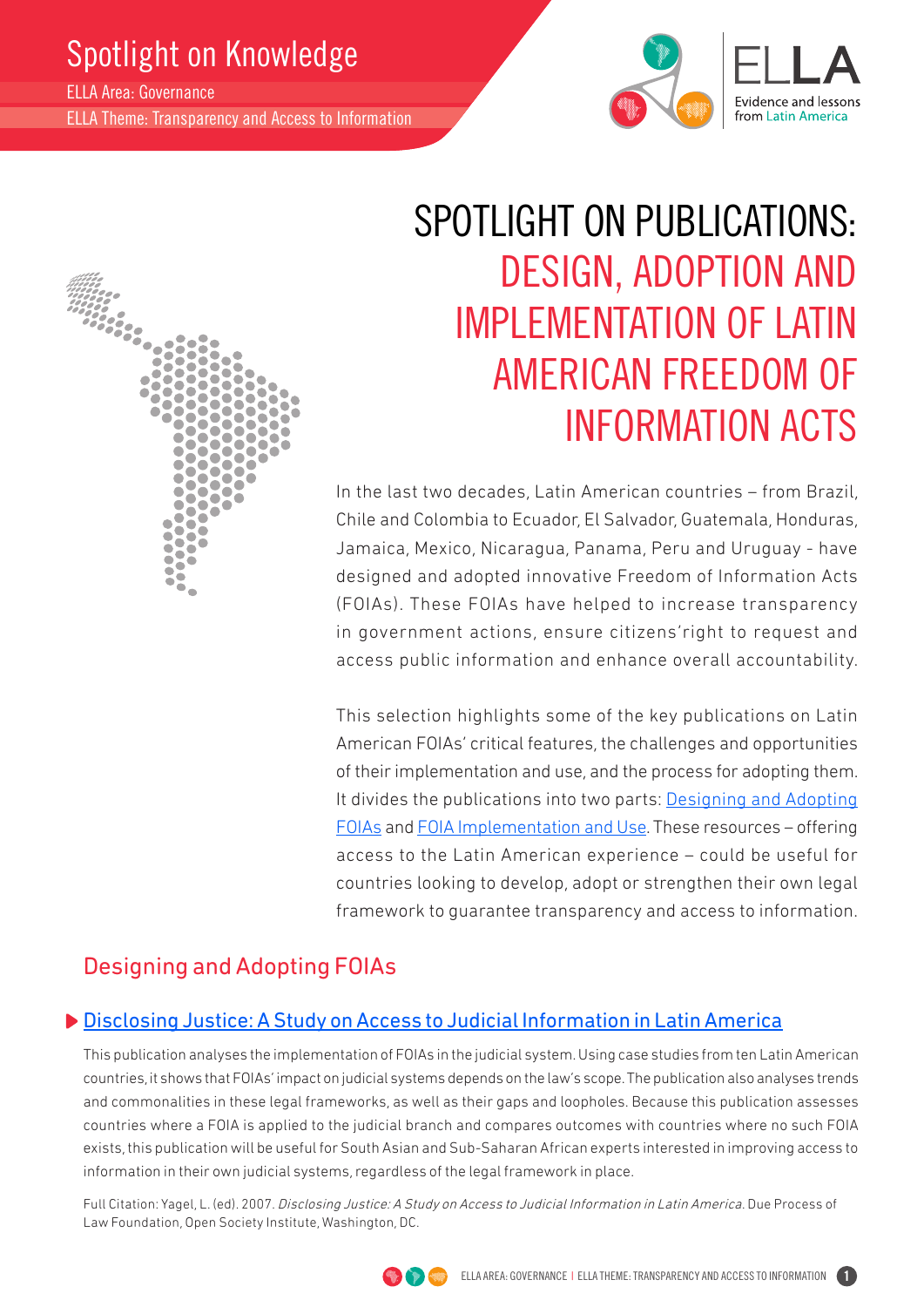## Spotlight on Knowledge

ELLA Area: Governance

ELLA Theme: Transparency and Access to Information



# SPOTLIGHT ON PUBLICATIONS: DESIGN, ADOPTION AND IMPLEMENTATION OF LATIN AMERICAN FREEDOM OF INFORMATION ACTS

In the last two decades, Latin American countries – from Brazil, Chile and Colombia to Ecuador, El Salvador, Guatemala, Honduras, Jamaica, Mexico, Nicaragua, Panama, Peru and Uruguay - have designed and adopted innovative Freedom of Information Acts (FOIAs). These FOIAs have helped to increase transparency in government actions, ensure citizens'right to request and access public information and enhance overall accountability.

This selection highlights some of the key publications on Latin American FOIAs' critical features, the challenges and opportunities of their implementation and use, and the process for adopting them. It divides the publications into two parts: Designing and Adopting FOIAs and FOIA Implementation and Use. These resources – offering access to the Latin American experience – could be useful for countries looking to develop, adopt or strengthen their own legal framework to guarantee transparency and access to information.

### Designing and Adopting FOIAs

#### [Disclosing Justice: A Study on Access to Judicial Information in Latin America](http://www.dplf.org/uploads/1196288246.pdf)

This publication analyses the implementation of FOIAs in the judicial system. Using case studies from ten Latin American countries, it shows that FOIAs' impact on judicial systems depends on the law's scope. The publication also analyses trends and commonalities in these legal frameworks, as well as their gaps and loopholes. Because this publication assesses countries where a FOIA is applied to the judicial branch and compares outcomes with countries where no such FOIA exists, this publication will be useful for South Asian and Sub-Saharan African experts interested in improving access to information in their own judicial systems, regardless of the legal framework in place.

Full Citation: Yagel, L. (ed). 2007. Disclosing Justice: A Study on Access to Judicial Information in Latin America. Due Process of Law Foundation, Open Society Institute, Washington, DC.

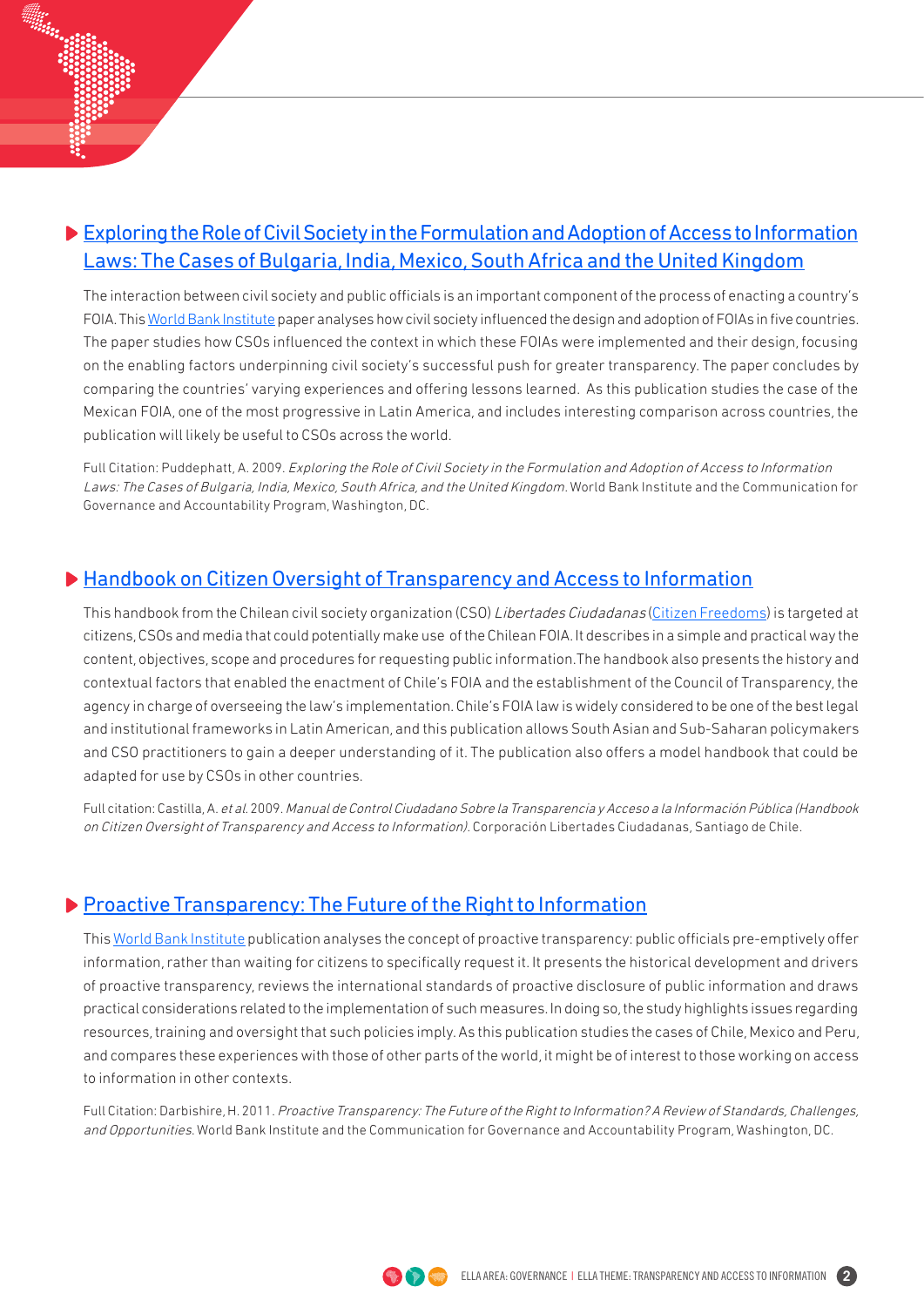#### [Exploring the Role of Civil Society in the Formulation and Adoption of Access to Information](http://siteresources.worldbank.org/EXTGOVACC/Resources/atICivSocietyFinalWeb.pdf) [Laws: The Cases of Bulgaria, India, Mexico, South Africa and the United Kingdom](http://siteresources.worldbank.org/EXTGOVACC/Resources/atICivSocietyFinalWeb.pdf)

The interaction between civil society and public officials is an important component of the process of enacting a country's FOIA. This [World Bank Institute](http://wbi.worldbank.org/wbi/topic/governance) paper analyses how civil society influenced the design and adoption of FOIAs in five countries. The paper studies how CSOs influenced the context in which these FOIAs were implemented and their design, focusing on the enabling factors underpinning civil society's successful push for greater transparency. The paper concludes by comparing the countries' varying experiences and offering lessons learned. As this publication studies the case of the Mexican FOIA, one of the most progressive in Latin America, and includes interesting comparison across countries, the publication will likely be useful to CSOs across the world.

Full Citation: Puddephatt, A. 2009. Exploring the Role of Civil Society in the Formulation and Adoption of Access to Information Laws: The Cases of Bulgaria, India, Mexico, South Africa, and the United Kingdom. World Bank Institute and the Communication for Governance and Accountability Program, Washington, DC.

#### ▶ [Handbook on Citizen Oversight of Transparency and Access to Information](http://ia600302.us.archive.org/18/items/ManualDeControlCiudadanoSobreTransparenciaYAccesoALaInformacin/MANUAL.pdf)

This handbook from the Chilean civil society organization (CSO) Libertades Ciudadanas [\(Citizen Freedoms](http://translate.google.com/translate?hl=es&sl=es&tl=en&u=http%3A%2F%2Fwww.libertadesciudadanas.cl%2FCLC%2Findex.php)) is targeted at citizens, CSOs and media that could potentially make use of the Chilean FOIA. It describes in a simple and practical way the content, objectives, scope and procedures for requesting public information.The handbook also presents the history and contextual factors that enabled the enactment of Chile's FOIA and the establishment of the Council of Transparency, the agency in charge of overseeing the law's implementation. Chile's FOIA law is widely considered to be one of the best legal and institutional frameworks in Latin American, and this publication allows South Asian and Sub-Saharan policymakers and CSO practitioners to gain a deeper understanding of it. The publication also offers a model handbook that could be adapted for use by CSOs in other countries.

Full citation: Castilla, A. et al. 2009. Manual de Control Ciudadano Sobre la Transparencia y Acceso a la Información Pública (Handbook on Citizen Oversight of Transparency and Access to Information). Corporación Libertades Ciudadanas, Santiago de Chile.

#### **[Proactive Transparency: The Future of the Right to Information](http://siteresources.worldbank.org/WBI/Resources/213798-1259011531325/6598384-1268250334206/Darbishire_Proactive_Transparency.pdf)**

This [World Bank Institute](http://wbi.worldbank.org/wbi/topic/governance) publication analyses the concept of proactive transparency: public officials pre-emptively offer information, rather than waiting for citizens to specifically request it. It presents the historical development and drivers of proactive transparency, reviews the international standards of proactive disclosure of public information and draws practical considerations related to the implementation of such measures. In doing so, the study highlights issues regarding resources, training and oversight that such policies imply. As this publication studies the cases of Chile, Mexico and Peru, and compares these experiences with those of other parts of the world, it might be of interest to those working on access to information in other contexts.

Full Citation: Darbishire, H. 2011. Proactive Transparency: The Future of the Right to Information? A Review of Standards, Challenges, and Opportunities. World Bank Institute and the Communication for Governance and Accountability Program, Washington, DC.



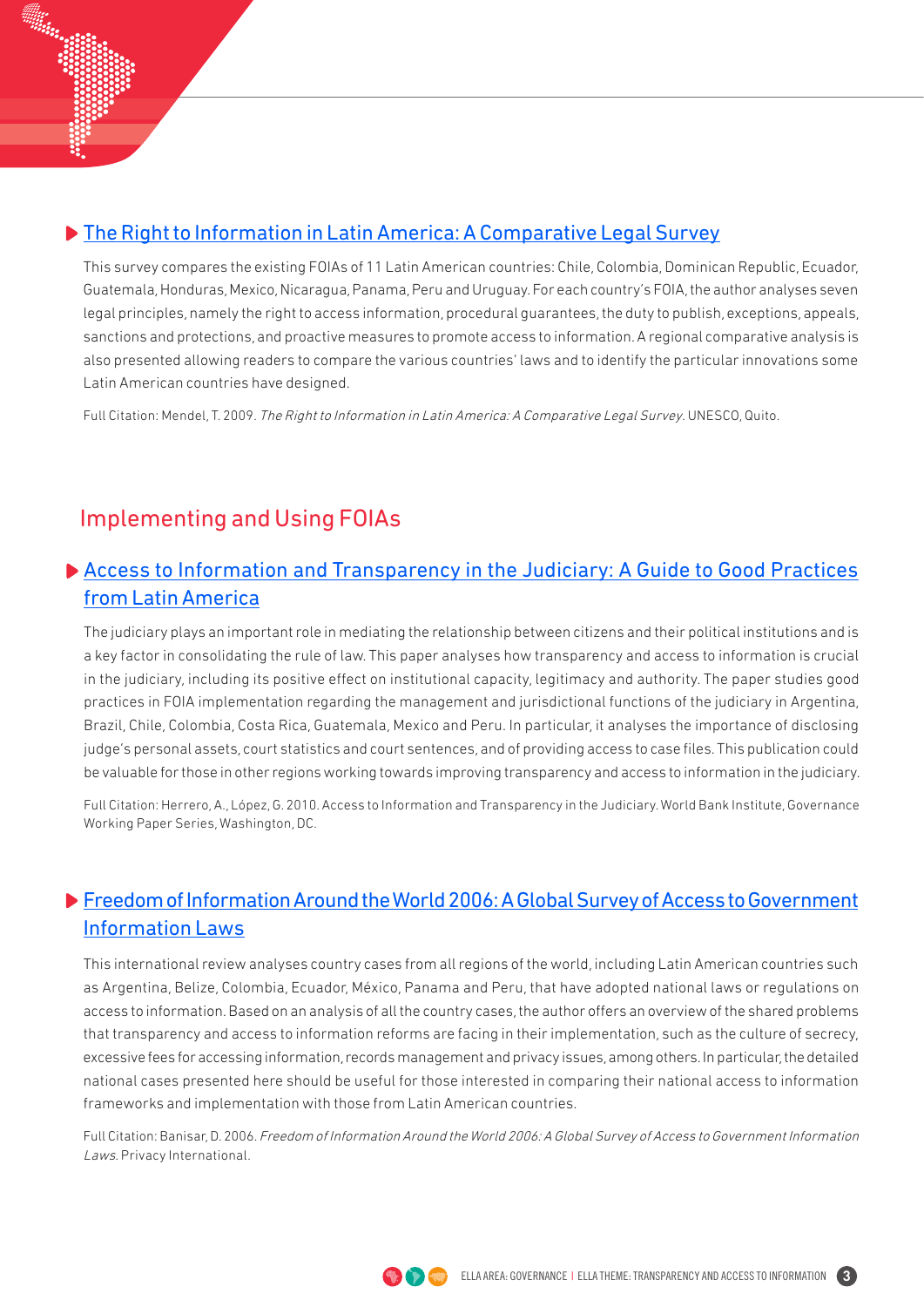#### ▶ [The Right to Information in Latin America: A Comparative Legal Survey](http://unesdoc.unesco.org/images/0018/001832/183273e.pdf)

This survey compares the existing FOIAs of 11 Latin American countries: Chile, Colombia, Dominican Republic, Ecuador, Guatemala, Honduras, Mexico, Nicaragua, Panama, Peru and Uruguay. For each country's FOIA, the author analyses seven legal principles, namely the right to access information, procedural guarantees, the duty to publish, exceptions, appeals, sanctions and protections, and proactive measures to promote access to information. A regional comparative analysis is also presented allowing readers to compare the various countries' laws and to identify the particular innovations some Latin American countries have designed.

Full Citation: Mendel, T. 2009. The Right to Information in Latin America: A Comparative Legal Survey. UNESCO, Quito.

### Implementing and Using FOIAs

#### [Access to Information and Transparency in the Judiciary: A Guide to Good Practices](http://siteresources.worldbank.org/WBI/Resources/213798-1259011531325/6598384-1268250334206/Transparency_Judiciary.pdf) [from Latin America](http://siteresources.worldbank.org/WBI/Resources/213798-1259011531325/6598384-1268250334206/Transparency_Judiciary.pdf)

The judiciary plays an important role in mediating the relationship between citizens and their political institutions and is a key factor in consolidating the rule of law. This paper analyses how transparency and access to information is crucial in the judiciary, including its positive effect on institutional capacity, legitimacy and authority. The paper studies good practices in FOIA implementation regarding the management and jurisdictional functions of the judiciary in Argentina, Brazil, Chile, Colombia, Costa Rica, Guatemala, Mexico and Peru. In particular, it analyses the importance of disclosing judge's personal assets, court statistics and court sentences, and of providing access to case files. This publication could be valuable for those in other regions working towards improving transparency and access to information in the judiciary.

Full Citation: Herrero, A., López, G. 2010. Access to Information and Transparency in the Judiciary. World Bank Institute, Governance Working Paper Series, Washington, DC.

#### [Freedom of Information Around the World 2006: A Global Survey of Access to Government](http://www.freedominfo.org/documents/global_survey2006.pdf) [Information Laws](http://www.freedominfo.org/documents/global_survey2006.pdf)

This international review analyses country cases from all regions of the world, including Latin American countries such as Argentina, Belize, Colombia, Ecuador, México, Panama and Peru, that have adopted national laws or regulations on access to information. Based on an analysis of all the country cases, the author offers an overview of the shared problems that transparency and access to information reforms are facing in their implementation, such as the culture of secrecy, excessive fees for accessing information, records management and privacy issues, among others. In particular, the detailed national cases presented here should be useful for those interested in comparing their national access to information frameworks and implementation with those from Latin American countries.

Full Citation: Banisar, D. 2006. Freedom of Information Around the World 2006: A Global Survey of Access to Government Information Laws. Privacy International.



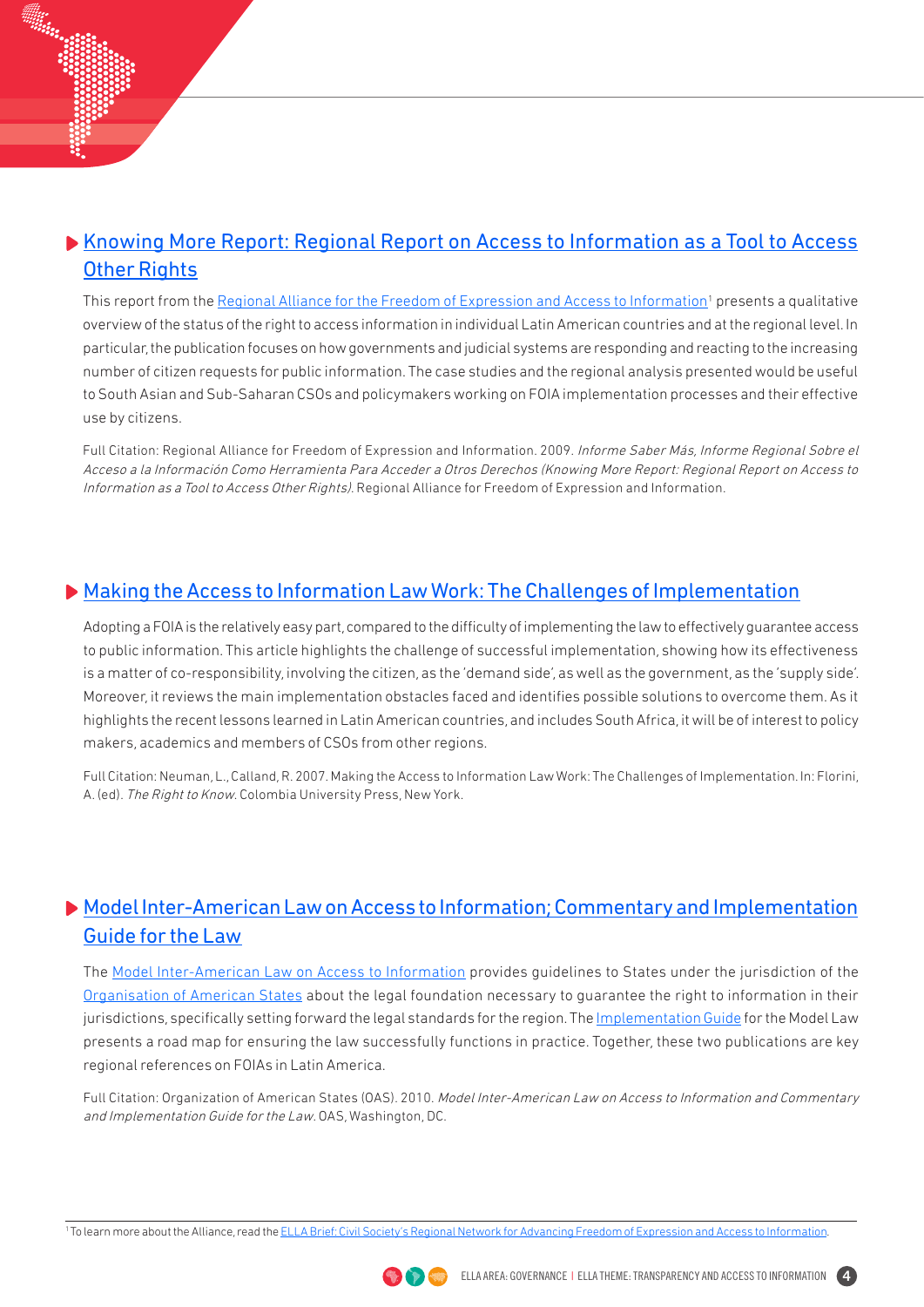#### [Knowing More Report: Regional Report on Access to Information as a Tool to Access](http://alianzaregional.net/site/images/stories/saber_mas.pdf)  [Other Rights](http://alianzaregional.net/site/images/stories/saber_mas.pdf)

This report from the <u>Regional Alliance for the Freedom of Expression and Access to Information</u><sup>1</sup> presents a qualitative overview of the status of the right to access information in individual Latin American countries and at the regional level. In particular, the publication focuses on how governments and judicial systems are responding and reacting to the increasing number of citizen requests for public information. The case studies and the regional analysis presented would be useful to South Asian and Sub-Saharan CSOs and policymakers working on FOIA implementation processes and their effective use by citizens.

Full Citation: Regional Alliance for Freedom of Expression and Information. 2009. Informe Saber Más, Informe Regional Sobre el Acceso a la Información Como Herramienta Para Acceder a Otros Derechos (Knowing More Report: Regional Report on Access to Information as a Tool to Access Other Rights). Regional Alliance for Freedom of Expression and Information.

#### [Making the Access to Information Law Work: The Challenges of Implementation](http://www.cartercenter.org/resources/pdfs/peace/americas/making_the_law_work.pdf)

Adopting a FOIA is the relatively easy part, compared to the difficulty of implementing the law to effectively guarantee access to public information. This article highlights the challenge of successful implementation, showing how its effectiveness is a matter of co-responsibility, involving the citizen, as the 'demand side', as well as the government, as the 'supply side'. Moreover, it reviews the main implementation obstacles faced and identifies possible solutions to overcome them. As it highlights the recent lessons learned in Latin American countries, and includes South Africa, it will be of interest to policy makers, academics and members of CSOs from other regions.

Full Citation: Neuman, L., Calland, R. 2007. Making the Access to Information Law Work: The Challenges of Implementation. In: Florini, A. (ed). The Right to Know. Colombia University Press, New York.

#### [Model Inter-American Law on Access to Information; Commentary and Implementation](http://www.oas.org/dil/access_to_information_model_law.htm) [Guide for the Law](http://www.oas.org/dil/access_to_information_model_law.htm)

The [Model Inter-American Law on Access to Information](http://www.oas.org/dil/AG-RES_2607-2010_eng.pdf) provides guidelines to States under the jurisdiction of the [Organisation of American States](http://www.oas.org/en/default.asp) about the legal foundation necessary to guarantee the right to information in their jurisdictions, specifically setting forward the legal standards for the region. The [Implementation Guide](http://www.oas.org/dil/CP-CAJP-2841-10_eng.pdf) for the Model Law presents a road map for ensuring the law successfully functions in practice. Together, these two publications are key regional references on FOIAs in Latin America.

Full Citation: Organization of American States (OAS). 2010. Model Inter-American Law on Access to Information and Commentary and Implementation Guide for the Law. OAS, Washington, DC.

<sup>&</sup>lt;sup>1</sup> To learn more about the Alliance, read the [ELLA Brief: Civil Society's Regional Network for Advancing Freedom of Expression and Access to Information.](http://ella.practicalaction.org/node/954)

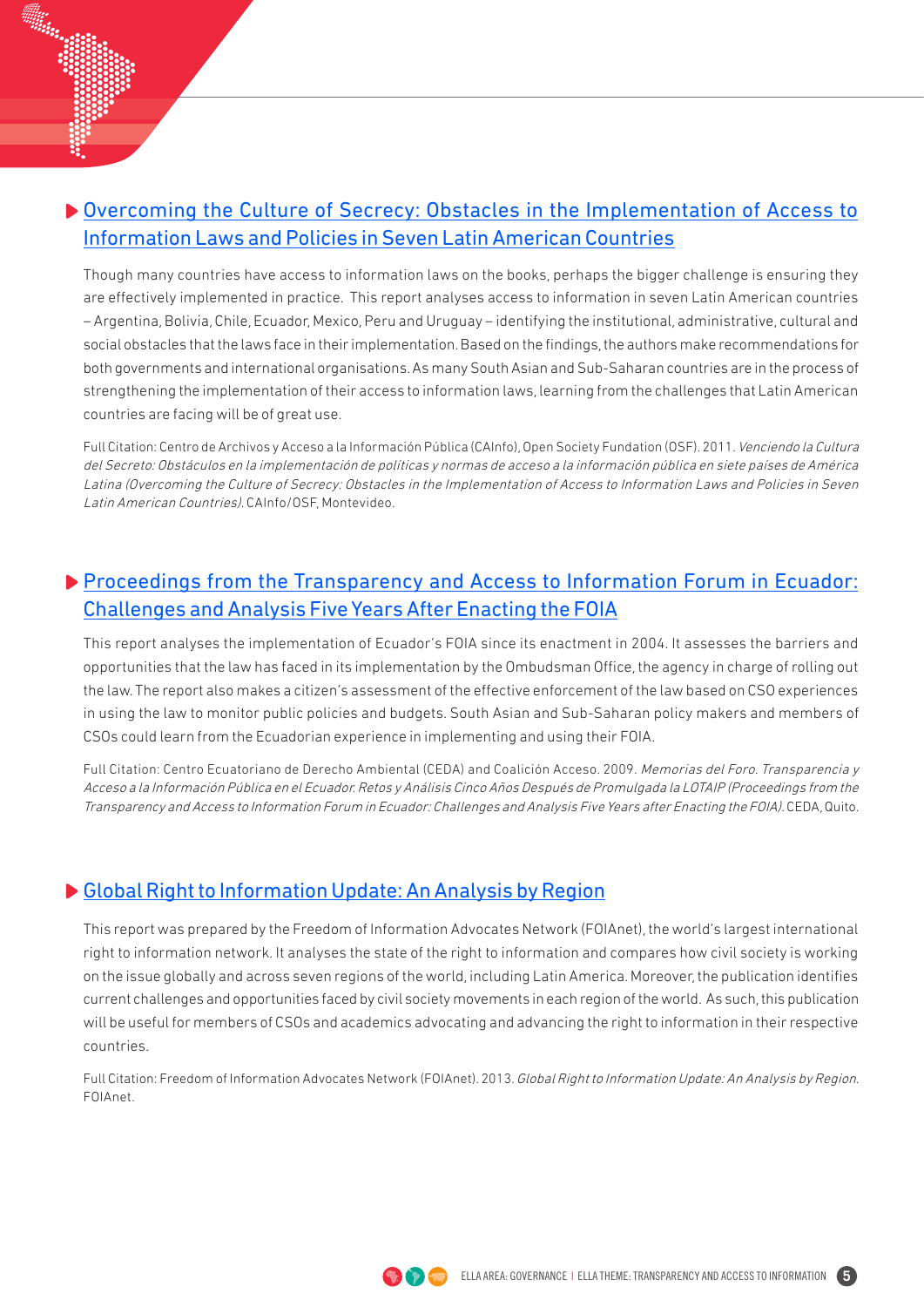#### [Overcoming the Culture of Secrecy: Obstacles in the Implementation of Access to](http://www.cainfo.org.uy/images/LIBRO - Venciendo la Cultura del Secreto.pdf)  [Information Laws and Policies in Seven Latin American Countries](http://www.cainfo.org.uy/images/LIBRO - Venciendo la Cultura del Secreto.pdf)

Though many countries have access to information laws on the books, perhaps the bigger challenge is ensuring they are effectively implemented in practice. This report analyses access to information in seven Latin American countries – Argentina, Bolivia, Chile, Ecuador, Mexico, Peru and Uruguay – identifying the institutional, administrative, cultural and social obstacles that the laws face in their implementation. Based on the findings, the authors make recommendations for both governments and international organisations. As many South Asian and Sub-Saharan countries are in the process of strengthening the implementation of their access to information laws, learning from the challenges that Latin American countries are facing will be of great use.

Full Citation: Centro de Archivos y Acceso a la Información Pública (CAInfo), Open Society Fundation (OSF). 2011. Venciendo la Cultura del Secreto: Obstáculos en la implementación de políticas y normas de acceso a la información pública en siete países de América Latina (Overcoming the Culture of Secrecy: Obstacles in the Implementation of Access to Information Laws and Policies in Seven Latin American Countries). CAInfo/OSF, Montevideo.

#### **[Proceedings from the Transparency and Access to Information Forum in Ecuador:](http://www.ceda.org.ec/descargas/publicaciones/MemoriaForoLOTAIP.pdf)** [Challenges and Analysis Five Years After Enacting the FOIA](http://www.ceda.org.ec/descargas/publicaciones/MemoriaForoLOTAIP.pdf)

This report analyses the implementation of Ecuador's FOIA since its enactment in 2004. It assesses the barriers and opportunities that the law has faced in its implementation by the Ombudsman Office, the agency in charge of rolling out the law. The report also makes a citizen's assessment of the effective enforcement of the law based on CSO experiences in using the law to monitor public policies and budgets. South Asian and Sub-Saharan policy makers and members of CSOs could learn from the Ecuadorian experience in implementing and using their FOIA.

Full Citation: Centro Ecuatoriano de Derecho Ambiental (CEDA) and Coalición Acceso. 2009. Memorias del Foro. Transparencia y Acceso a la Información Pública en el Ecuador. Retos y Análisis Cinco Años Después de Promulgada la LOTAIP (Proceedings from the Transparency and Access to Information Forum in Ecuador: Challenges and Analysis Five Years after Enacting the FOIA). CEDA, Quito.

#### [Global Right to Information Update: An Analysis by Region](http://www.foiadvocates.net/dmdocuments/News_Documents/global_right_to_information_update.pdf)

This report was prepared by the Freedom of Information Advocates Network (FOIAnet), the world's largest international right to information network. It analyses the state of the right to information and compares how civil society is working on the issue globally and across seven regions of the world, including Latin America. Moreover, the publication identifies current challenges and opportunities faced by civil society movements in each region of the world. As such, this publication will be useful for members of CSOs and academics advocating and advancing the right to information in their respective countries.

Full Citation: Freedom of Information Advocates Network (FOIAnet). 2013. Global Right to Information Update: An Analysis by Region. FOIAnet.